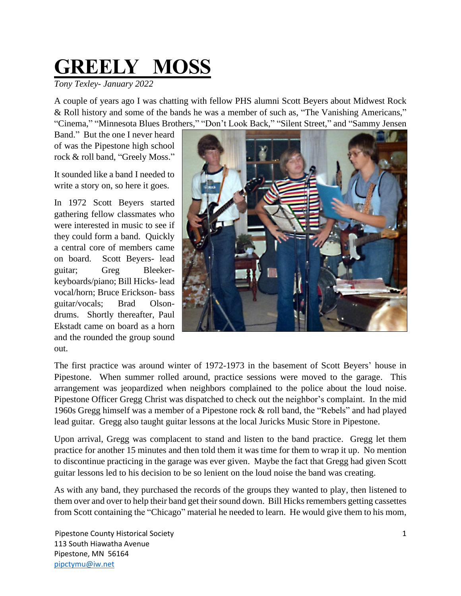## **GREELY MOSS**

*Tony Texley- January 2022*

A couple of years ago I was chatting with fellow PHS alumni Scott Beyers about Midwest Rock & Roll history and some of the bands he was a member of such as, "The Vanishing Americans," "Cinema," "Minnesota Blues Brothers," "Don't Look Back," "Silent Street," and "Sammy Jensen

Band." But the one I never heard of was the Pipestone high school rock & roll band, "Greely Moss."

It sounded like a band I needed to write a story on, so here it goes.

In 1972 Scott Beyers started gathering fellow classmates who were interested in music to see if they could form a band. Quickly a central core of members came on board. Scott Beyers- lead guitar; Greg Bleekerkeyboards/piano; Bill Hicks- lead vocal/horn; Bruce Erickson- bass guitar/vocals; Brad Olsondrums. Shortly thereafter, Paul Ekstadt came on board as a horn and the rounded the group sound out.



The first practice was around winter of 1972-1973 in the basement of Scott Beyers' house in Pipestone. When summer rolled around, practice sessions were moved to the garage. This arrangement was jeopardized when neighbors complained to the police about the loud noise. Pipestone Officer Gregg Christ was dispatched to check out the neighbor's complaint. In the mid 1960s Gregg himself was a member of a Pipestone rock & roll band, the "Rebels" and had played lead guitar. Gregg also taught guitar lessons at the local Juricks Music Store in Pipestone.

Upon arrival, Gregg was complacent to stand and listen to the band practice. Gregg let them practice for another 15 minutes and then told them it was time for them to wrap it up. No mention to discontinue practicing in the garage was ever given. Maybe the fact that Gregg had given Scott guitar lessons led to his decision to be so lenient on the loud noise the band was creating.

As with any band, they purchased the records of the groups they wanted to play, then listened to them over and over to help their band get their sound down. Bill Hicks remembers getting cassettes from Scott containing the "Chicago" material he needed to learn. He would give them to his mom,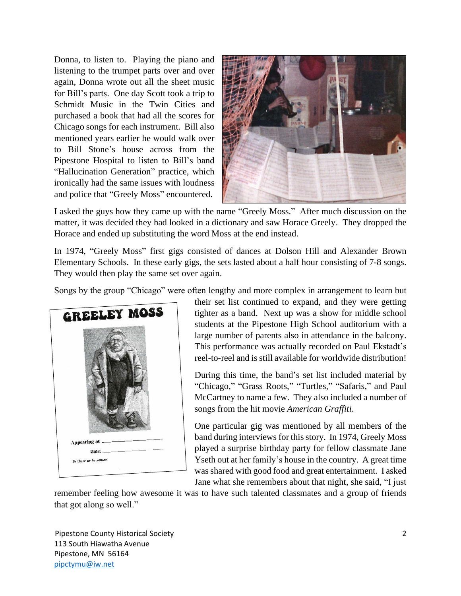Donna, to listen to. Playing the piano and listening to the trumpet parts over and over again, Donna wrote out all the sheet music for Bill's parts. One day Scott took a trip to Schmidt Music in the Twin Cities and purchased a book that had all the scores for Chicago songs for each instrument. Bill also mentioned years earlier he would walk over to Bill Stone's house across from the Pipestone Hospital to listen to Bill's band "Hallucination Generation" practice, which ironically had the same issues with loudness and police that "Greely Moss" encountered.



I asked the guys how they came up with the name "Greely Moss." After much discussion on the matter, it was decided they had looked in a dictionary and saw Horace Greely. They dropped the Horace and ended up substituting the word Moss at the end instead.

In 1974, "Greely Moss" first gigs consisted of dances at Dolson Hill and Alexander Brown Elementary Schools. In these early gigs, the sets lasted about a half hour consisting of 7-8 songs. They would then play the same set over again.

Songs by the group "Chicago" were often lengthy and more complex in arrangement to learn but



their set list continued to expand, and they were getting tighter as a band. Next up was a show for middle school students at the Pipestone High School auditorium with a large number of parents also in attendance in the balcony. This performance was actually recorded on Paul Ekstadt's reel-to-reel and is still available for worldwide distribution!

During this time, the band's set list included material by "Chicago," "Grass Roots," "Turtles," "Safaris," and Paul McCartney to name a few. They also included a number of songs from the hit movie *American Graffiti*.

One particular gig was mentioned by all members of the band during interviews for this story. In 1974, Greely Moss played a surprise birthday party for fellow classmate Jane Yseth out at her family's house in the country. A great time was shared with good food and great entertainment. I asked Jane what she remembers about that night, she said, "I just

remember feeling how awesome it was to have such talented classmates and a group of friends that got along so well."

Pipestone County Historical Society 2 113 South Hiawatha Avenue Pipestone, MN 56164 [pipctymu@iw.net](mailto:pipctymu@iw.net)